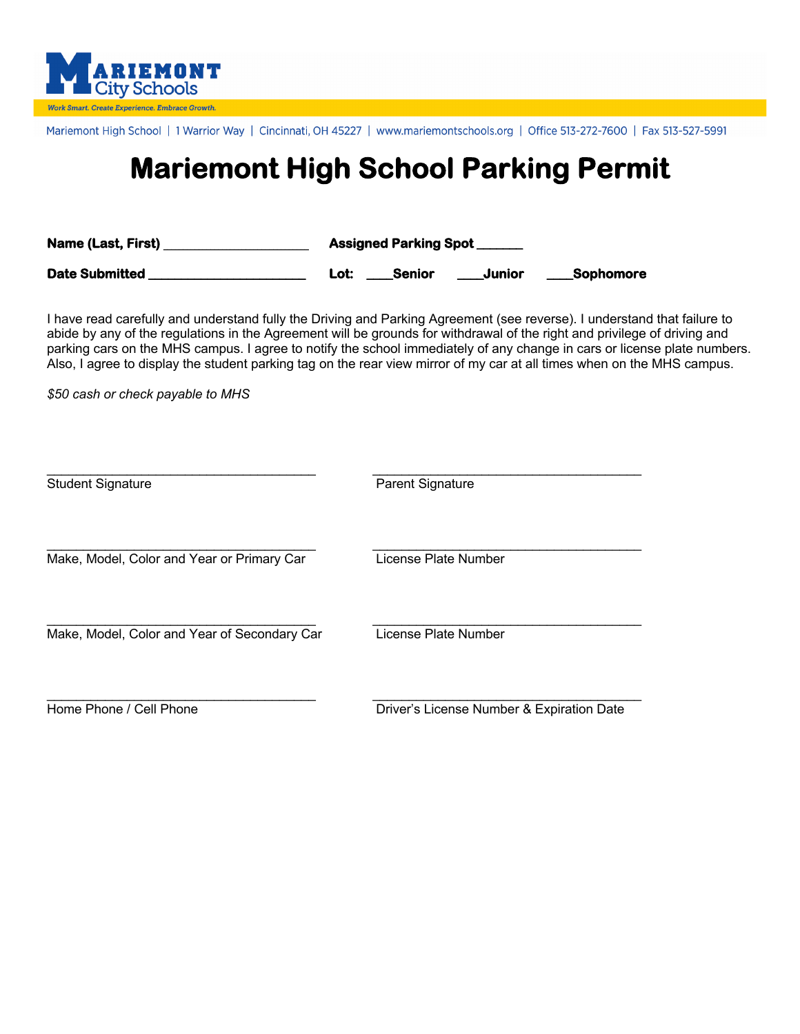

Mariemont High School | 1 Warrior Way | Cincinnati, OH 45227 | www.mariemontschools.org | Office 513-272-7600 | Fax 513-527-5991

## **Mariemont High School Parking Permit**

| <b>Name (Last, First)</b> | <b>Assigned Parking Spot</b> |        |                  |
|---------------------------|------------------------------|--------|------------------|
| Date Submitted            | <b>Senior</b><br>Lot:        | Junior | <b>Sophomore</b> |

I have read carefully and understand fully the Driving and Parking Agreement (see reverse). I understand that failure to abide by any of the regulations in the Agreement will be grounds for withdrawal of the right and privilege of driving and parking cars on the MHS campus. I agree to notify the school immediately of any change in cars or license plate numbers. Also, I agree to display the student parking tag on the rear view mirror of my car at all times when on the MHS campus.

*\$50 cash or check payable to MHS*

| <b>Student Signature</b>                     | <b>Parent Signature</b>                   |
|----------------------------------------------|-------------------------------------------|
| Make, Model, Color and Year or Primary Car   | License Plate Number                      |
| Make, Model, Color and Year of Secondary Car | License Plate Number                      |
| Home Phone / Cell Phone                      | Driver's License Number & Expiration Date |